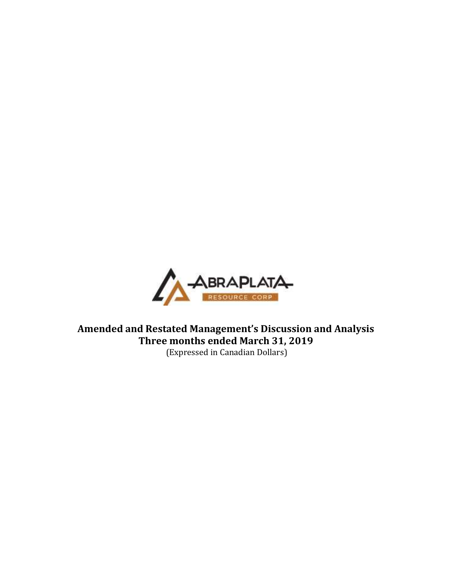

**Amended and Restated Management's Discussion and Analysis Three months ended March 31, 2019** (Expressed in Canadian Dollars)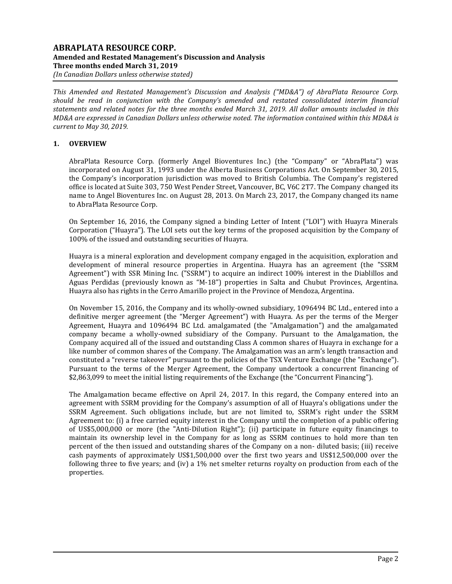## **ABRAPLATA RESOURCE CORP. Amended and Restated Management's Discussion and Analysis Three months ended March 31, 2019** *(In Canadian Dollars unless otherwise stated)*

*This Amended and Restated Management's Discussion and Analysis ("MD&A") of AbraPlata Resource Corp. should be read in conjunction with the Company's amended and restated consolidated interim financial statements and related notes for the three months ended March 31, 2019. All dollar amounts included in this MD&A are expressed in Canadian Dollars unless otherwise noted. The information contained within this MD&A is current to May 30, 2019.*

# **1. OVERVIEW**

AbraPlata Resource Corp. (formerly Angel Bioventures Inc.) (the "Company" or "AbraPlata") was incorporated on August 31, 1993 under the Alberta Business Corporations Act. On September 30, 2015, the Company's incorporation jurisdiction was moved to British Columbia. The Company's registered office is located at Suite 303, 750 West Pender Street, Vancouver, BC, V6C 2T7. The Company changed its name to Angel Bioventures Inc. on August 28, 2013. On March 23, 2017, the Company changed its name to AbraPlata Resource Corp.

On September 16, 2016, the Company signed a binding Letter of Intent ("LOI") with Huayra Minerals Corporation ("Huayra"). The LOI sets out the key terms of the proposed acquisition by the Company of 100% of the issued and outstanding securities of Huayra.

Huayra is a mineral exploration and development company engaged in the acquisition, exploration and development of mineral resource properties in Argentina. Huayra has an agreement (the "SSRM Agreement") with SSR Mining Inc. ("SSRM") to acquire an indirect 100% interest in the Diablillos and Aguas Perdidas (previously known as "M-18") properties in Salta and Chubut Provinces, Argentina. Huayra also has rights in the Cerro Amarillo project in the Province of Mendoza, Argentina.

On November 15, 2016, the Company and its wholly-owned subsidiary, 1096494 BC Ltd., entered into a definitive merger agreement (the "Merger Agreement") with Huayra. As per the terms of the Merger Agreement, Huayra and 1096494 BC Ltd. amalgamated (the "Amalgamation") and the amalgamated company became a wholly-owned subsidiary of the Company. Pursuant to the Amalgamation, the Company acquired all of the issued and outstanding Class A common shares of Huayra in exchange for a like number of common shares of the Company. The Amalgamation was an arm's length transaction and constituted a "reverse takeover" pursuant to the policies of the TSX Venture Exchange (the "Exchange"). Pursuant to the terms of the Merger Agreement, the Company undertook a concurrent financing of \$2,863,099 to meet the initial listing requirements of the Exchange (the "Concurrent Financing").

The Amalgamation became effective on April 24, 2017. In this regard, the Company entered into an agreement with SSRM providing for the Company's assumption of all of Huayra's obligations under the SSRM Agreement. Such obligations include, but are not limited to, SSRM's right under the SSRM Agreement to: (i) a free carried equity interest in the Company until the completion of a public offering of US\$5,000,000 or more (the "Anti-Dilution Right"); (ii) participate in future equity financings to maintain its ownership level in the Company for as long as SSRM continues to hold more than ten percent of the then issued and outstanding shares of the Company on a non- diluted basis; (iii) receive cash payments of approximately US\$1,500,000 over the first two years and US\$12,500,000 over the following three to five years; and (iv) a 1% net smelter returns royalty on production from each of the properties.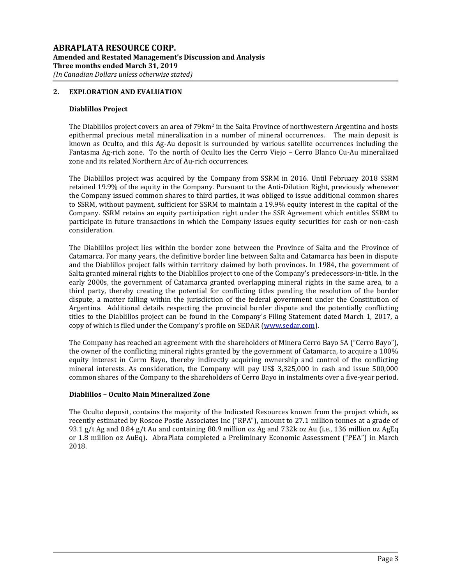## **2. EXPLORATION AND EVALUATION**

#### **Diablillos Project**

The Diablillos project covers an area of 79km<sup>2</sup> in the Salta Province of northwestern Argentina and hosts epithermal precious metal mineralization in a number of mineral occurrences. The main deposit is known as Oculto, and this Ag-Au deposit is surrounded by various satellite occurrences including the Fantasma Ag-rich zone. To the north of Oculto lies the Cerro Viejo – Cerro Blanco Cu-Au mineralized zone and its related Northern Arc of Au-rich occurrences.

The Diablillos project was acquired by the Company from SSRM in 2016. Until February 2018 SSRM retained 19.9% of the equity in the Company. Pursuant to the Anti-Dilution Right, previously whenever the Company issued common shares to third parties, it was obliged to issue additional common shares to SSRM, without payment, sufficient for SSRM to maintain a 19.9% equity interest in the capital of the Company. SSRM retains an equity participation right under the SSR Agreement which entitles SSRM to participate in future transactions in which the Company issues equity securities for cash or non-cash consideration.

The Diablillos project lies within the border zone between the Province of Salta and the Province of Catamarca. For many years, the definitive border line between Salta and Catamarca has been in dispute and the Diablillos project falls within territory claimed by both provinces. In 1984, the government of Salta granted mineral rights to the Diablillos project to one of the Company's predecessors-in-title. In the early 2000s, the government of Catamarca granted overlapping mineral rights in the same area, to a third party, thereby creating the potential for conflicting titles pending the resolution of the border dispute, a matter falling within the jurisdiction of the federal government under the Constitution of Argentina. Additional details respecting the provincial border dispute and the potentially conflicting titles to the Diablillos project can be found in the Company's Filing Statement dated March 1, 2017, a copy of which is filed under the Company's profile on SEDAR [\(www.sedar.com\)](http://www.sedar.com/).

The Company has reached an agreement with the shareholders of Minera Cerro Bayo SA ("Cerro Bayo"), the owner of the conflicting mineral rights granted by the government of Catamarca, to acquire a 100% equity interest in Cerro Bayo, thereby indirectly acquiring ownership and control of the conflicting mineral interests. As consideration, the Company will pay US\$ 3,325,000 in cash and issue 500,000 common shares of the Company to the shareholders of Cerro Bayo in instalments over a five-year period.

## **Diablillos – Oculto Main Mineralized Zone**

The Oculto deposit, contains the majority of the Indicated Resources known from the project which, as recently estimated by Roscoe Postle Associates Inc ("RPA"), amount to 27.1 million tonnes at a grade of 93.1 g/t Ag and 0.84 g/t Au and containing 80.9 million oz Ag and 732k oz Au (i.e., 136 million oz AgEq or 1.8 million oz AuEq). AbraPlata completed a Preliminary Economic Assessment ("PEA") in March 2018.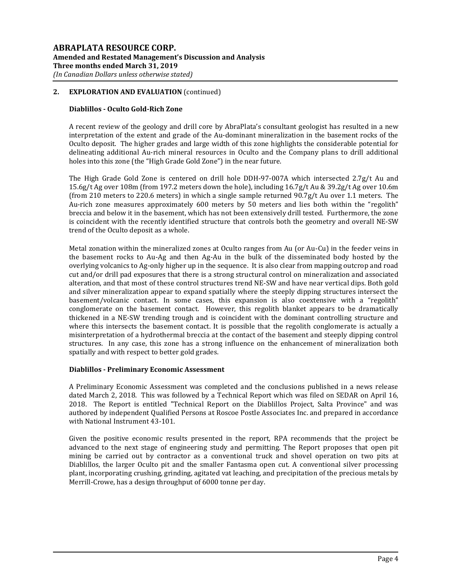## **Diablillos - Oculto Gold-Rich Zone**

A recent review of the geology and drill core by AbraPlata's consultant geologist has resulted in a new interpretation of the extent and grade of the Au-dominant mineralization in the basement rocks of the Oculto deposit. The higher grades and large width of this zone highlights the considerable potential for delineating additional Au-rich mineral resources in Oculto and the Company plans to drill additional holes into this zone (the "High Grade Gold Zone") in the near future.

The High Grade Gold Zone is centered on drill hole DDH-97-007A which intersected 2.7g/t Au and 15.6g/t Ag over 108m (from 197.2 meters down the hole), including 16.7g/t Au & 39.2g/t Ag over 10.6m (from 210 meters to 220.6 meters) in which a single sample returned 90.7g/t Au over 1.1 meters. The Au-rich zone measures approximately 600 meters by 50 meters and lies both within the "regolith" breccia and below it in the basement, which has not been extensively drill tested. Furthermore, the zone is coincident with the recently identified structure that controls both the geometry and overall NE-SW trend of the Oculto deposit as a whole.

Metal zonation within the mineralized zones at Oculto ranges from Au (or Au-Cu) in the feeder veins in the basement rocks to Au-Ag and then Ag-Au in the bulk of the disseminated body hosted by the overlying volcanics to Ag-only higher up in the sequence. It is also clear from mapping outcrop and road cut and/or drill pad exposures that there is a strong structural control on mineralization and associated alteration, and that most of these control structures trend NE-SW and have near vertical dips. Both gold and silver mineralization appear to expand spatially where the steeply dipping structures intersect the basement/volcanic contact. In some cases, this expansion is also coextensive with a "regolith" conglomerate on the basement contact. However, this regolith blanket appears to be dramatically thickened in a NE-SW trending trough and is coincident with the dominant controlling structure and where this intersects the basement contact. It is possible that the regolith conglomerate is actually a misinterpretation of a hydrothermal breccia at the contact of the basement and steeply dipping control structures. In any case, this zone has a strong influence on the enhancement of mineralization both spatially and with respect to better gold grades.

## **Diablillos - Preliminary Economic Assessment**

A Preliminary Economic Assessment was completed and the conclusions published in a news release dated March 2, 2018. This was followed by a Technical Report which was filed on SEDAR on April 16, 2018. The Report is entitled "Technical Report on the Diablillos Project, Salta Province" and was authored by independent Qualified Persons at Roscoe Postle Associates Inc. and prepared in accordance with National Instrument 43-101.

Given the positive economic results presented in the report, RPA recommends that the project be advanced to the next stage of engineering study and permitting. The Report proposes that open pit mining be carried out by contractor as a conventional truck and shovel operation on two pits at Diablillos, the larger Oculto pit and the smaller Fantasma open cut. A conventional silver processing plant, incorporating crushing, grinding, agitated vat leaching, and precipitation of the precious metals by Merrill-Crowe, has a design throughput of 6000 tonne per day.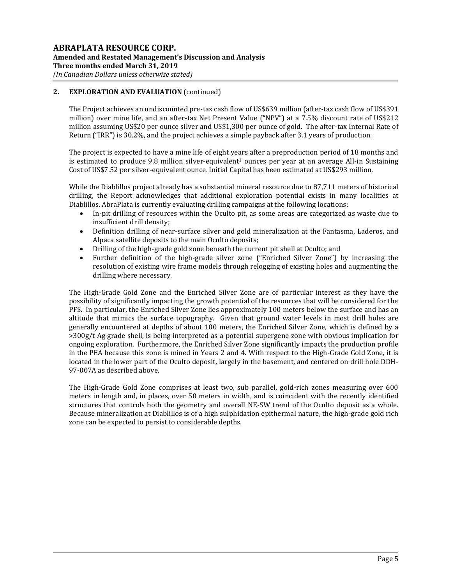The Project achieves an undiscounted pre-tax cash flow of US\$639 million (after-tax cash flow of US\$391 million) over mine life, and an after-tax Net Present Value ("NPV") at a 7.5% discount rate of US\$212 million assuming US\$20 per ounce silver and US\$1,300 per ounce of gold. The after-tax Internal Rate of Return ("IRR") is 30.2%, and the project achieves a simple payback after 3.1 years of production.

The project is expected to have a mine life of eight years after a preproduction period of 18 months and is estimated to produce  $9.8$  million silver-equivalent<sup>1</sup> ounces per year at an average All-in Sustaining Cost of US\$7.52 per silver-equivalent ounce. Initial Capital has been estimated at US\$293 million.

While the Diablillos project already has a substantial mineral resource due to 87,711 meters of historical drilling, the Report acknowledges that additional exploration potential exists in many localities at Diablillos. AbraPlata is currently evaluating drilling campaigns at the following locations:

- In-pit drilling of resources within the Oculto pit, as some areas are categorized as waste due to insufficient drill density;
- Definition drilling of near-surface silver and gold mineralization at the Fantasma, Laderos, and Alpaca satellite deposits to the main Oculto deposits;
- Drilling of the high-grade gold zone beneath the current pit shell at Oculto; and
- Further definition of the high-grade silver zone ("Enriched Silver Zone") by increasing the resolution of existing wire frame models through relogging of existing holes and augmenting the drilling where necessary.

The High-Grade Gold Zone and the Enriched Silver Zone are of particular interest as they have the possibility of significantly impacting the growth potential of the resources that will be considered for the PFS. In particular, the Enriched Silver Zone lies approximately 100 meters below the surface and has an altitude that mimics the surface topography. Given that ground water levels in most drill holes are generally encountered at depths of about 100 meters, the Enriched Silver Zone, which is defined by a >300g/t Ag grade shell, is being interpreted as a potential supergene zone with obvious implication for ongoing exploration. Furthermore, the Enriched Silver Zone significantly impacts the production profile in the PEA because this zone is mined in Years 2 and 4. With respect to the High-Grade Gold Zone, it is located in the lower part of the Oculto deposit, largely in the basement, and centered on drill hole DDH-97-007A as described above.

The High-Grade Gold Zone comprises at least two, sub parallel, gold-rich zones measuring over 600 meters in length and, in places, over 50 meters in width, and is coincident with the recently identified structures that controls both the geometry and overall NE-SW trend of the Oculto deposit as a whole. Because mineralization at Diablillos is of a high sulphidation epithermal nature, the high-grade gold rich zone can be expected to persist to considerable depths.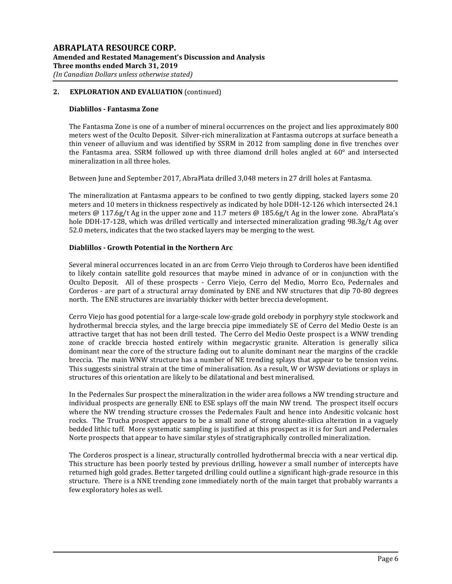#### **Diablillos - Fantasma Zone**

The Fantasma Zone is one of a number of mineral occurrences on the project and lies approximately 800 meters west of the Oculto Deposit. Silver-rich mineralization at Fantasma outcrops at surface beneath a thin veneer of alluvium and was identified by SSRM in 2012 from sampling done in five trenches over the Fantasma area. SSRM followed up with three diamond drill holes angled at 60° and intersected mineralization in all three holes.

Between June and September 2017, AbraPlata drilled 3,048 meters in 27 drill holes at Fantasma.

The mineralization at Fantasma appears to be confined to two gently dipping, stacked layers some 20 meters and 10 meters in thickness respectively as indicated by hole DDH-12-126 which intersected 24.1 meters @ 117.6g/t Ag in the upper zone and 11.7 meters @ 185.6g/t Ag in the lower zone. AbraPlata's hole DDH-17-128, which was drilled vertically and intersected mineralization grading 98.3g/t Ag over 52.0 meters, indicates that the two stacked layers may be merging to the west.

## **Diablillos - Growth Potential in the Northern Arc**

Several mineral occurrences located in an arc from Cerro Viejo through to Corderos have been identified to likely contain satellite gold resources that maybe mined in advance of or in conjunction with the Oculto Deposit. All of these prospects - Cerro Viejo, Cerro del Medio, Morro Eco, Pedernales and Corderos - are part of a structural array dominated by ENE and NW structures that dip 70-80 degrees north. The ENE structures are invariably thicker with better breccia development.

Cerro Viejo has good potential for a large-scale low-grade gold orebody in porphyry style stockwork and hydrothermal breccia styles, and the large breccia pipe immediately SE of Cerro del Medio Oeste is an attractive target that has not been drill tested. The Cerro del Medio Oeste prospect is a WNW trending zone of crackle breccia hosted entirely within megacrystic granite. Alteration is generally silica dominant near the core of the structure fading out to alunite dominant near the margins of the crackle breccia. The main WNW structure has a number of NE trending splays that appear to be tension veins. This suggests sinistral strain at the time of mineralisation. As a result, W or WSW deviations or splays in structures of this orientation are likely to be dilatational and best mineralised.

In the Pedernales Sur prospect the mineralization in the wider area follows a NW trending structure and individual prospects are generally ENE to ESE splays off the main NW trend. The prospect itself occurs where the NW trending structure crosses the Pedernales Fault and hence into Andesitic volcanic host rocks. The Trucha prospect appears to be a small zone of strong alunite-silica alteration in a vaguely bedded lithic tuff. More systematic sampling is justified at this prospect as it is for Suri and Pedernales Norte prospects that appear to have similar styles of stratigraphically controlled mineralization.

The Corderos prospect is a linear, structurally controlled hydrothermal breccia with a near vertical dip. This structure has been poorly tested by previous drilling, however a small number of intercepts have returned high gold grades. Better targeted drilling could outline a significant high-grade resource in this structure. There is a NNE trending zone immediately north of the main target that probably warrants a few exploratory holes as well.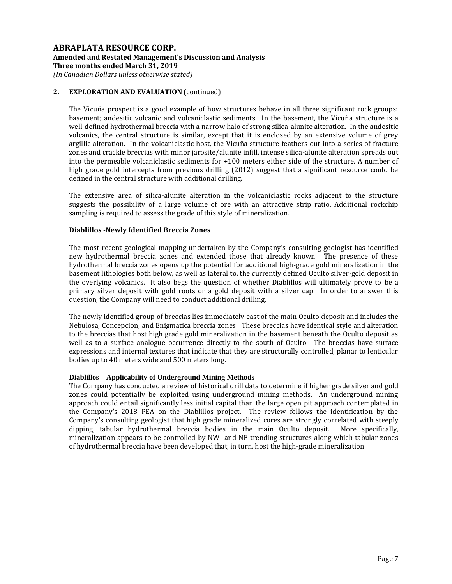The Vicuña prospect is a good example of how structures behave in all three significant rock groups: basement; andesitic volcanic and volcaniclastic sediments. In the basement, the Vicuña structure is a well-defined hydrothermal breccia with a narrow halo of strong silica-alunite alteration. In the andesitic volcanics, the central structure is similar, except that it is enclosed by an extensive volume of grey argillic alteration. In the volcaniclastic host, the Vicuña structure feathers out into a series of fracture zones and crackle breccias with minor jarosite/alunite infill, intense silica-alunite alteration spreads out into the permeable volcaniclastic sediments for +100 meters either side of the structure. A number of high grade gold intercepts from previous drilling (2012) suggest that a significant resource could be defined in the central structure with additional drilling.

The extensive area of silica-alunite alteration in the volcaniclastic rocks adjacent to the structure suggests the possibility of a large volume of ore with an attractive strip ratio. Additional rockchip sampling is required to assess the grade of this style of mineralization.

## **Diablillos -Newly Identified Breccia Zones**

The most recent geological mapping undertaken by the Company's consulting geologist has identified new hydrothermal breccia zones and extended those that already known. The presence of these hydrothermal breccia zones opens up the potential for additional high-grade gold mineralization in the basement lithologies both below, as well as lateral to, the currently defined Oculto silver-gold deposit in the overlying volcanics. It also begs the question of whether Diablillos will ultimately prove to be a primary silver deposit with gold roots or a gold deposit with a silver cap. In order to answer this question, the Company will need to conduct additional drilling.

The newly identified group of breccias lies immediately east of the main Oculto deposit and includes the Nebulosa, Concepcion, and Enigmatica breccia zones. These breccias have identical style and alteration to the breccias that host high grade gold mineralization in the basement beneath the Oculto deposit as well as to a surface analogue occurrence directly to the south of Oculto. The breccias have surface expressions and internal textures that indicate that they are structurally controlled, planar to lenticular bodies up to 40 meters wide and 500 meters long.

## **Diablillos – Applicability of Underground Mining Methods**

The Company has conducted a review of historical drill data to determine if higher grade silver and gold zones could potentially be exploited using underground mining methods. An underground mining approach could entail significantly less initial capital than the large open pit approach contemplated in the Company's 2018 PEA on the Diablillos project. The review follows the identification by the Company's consulting geologist that high grade mineralized cores are strongly correlated with steeply dipping, tabular hydrothermal breccia bodies in the main Oculto deposit. More specifically, mineralization appears to be controlled by NW- and NE-trending structures along which tabular zones of hydrothermal breccia have been developed that, in turn, host the high-grade mineralization.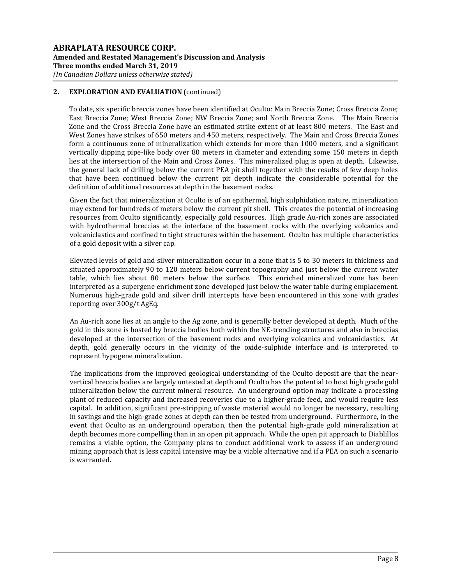To date, six specific breccia zones have been identified at Oculto: Main Breccia Zone; Cross Breccia Zone; East Breccia Zone; West Breccia Zone; NW Breccia Zone; and North Breccia Zone. The Main Breccia Zone and the Cross Breccia Zone have an estimated strike extent of at least 800 meters. The East and West Zones have strikes of 650 meters and 450 meters, respectively. The Main and Cross Breccia Zones form a continuous zone of mineralization which extends for more than 1000 meters, and a significant vertically dipping pipe-like body over 80 meters in diameter and extending some 150 meters in depth lies at the intersection of the Main and Cross Zones. This mineralized plug is open at depth. Likewise, the general lack of drilling below the current PEA pit shell together with the results of few deep holes that have been continued below the current pit depth indicate the considerable potential for the definition of additional resources at depth in the basement rocks.

Given the fact that mineralization at Oculto is of an epithermal, high sulphidation nature, mineralization may extend for hundreds of meters below the current pit shell. This creates the potential of increasing resources from Oculto significantly, especially gold resources. High grade Au-rich zones are associated with hydrothermal breccias at the interface of the basement rocks with the overlying volcanics and volcaniclastics and confined to tight structures within the basement. Oculto has multiple characteristics of a gold deposit with a silver cap.

Elevated levels of gold and silver mineralization occur in a zone that is 5 to 30 meters in thickness and situated approximately 90 to 120 meters below current topography and just below the current water table, which lies about 80 meters below the surface. This enriched mineralized zone has been interpreted as a supergene enrichment zone developed just below the water table during emplacement. Numerous high-grade gold and silver drill intercepts have been encountered in this zone with grades reporting over 300g/t AgEq.

An Au-rich zone lies at an angle to the Ag zone, and is generally better developed at depth. Much of the gold in this zone is hosted by breccia bodies both within the NE-trending structures and also in breccias developed at the intersection of the basement rocks and overlying volcanics and volcaniclastics. At depth, gold generally occurs in the vicinity of the oxide-sulphide interface and is interpreted to represent hypogene mineralization.

The implications from the improved geological understanding of the Oculto deposit are that the nearvertical breccia bodies are largely untested at depth and Oculto has the potential to host high grade gold mineralization below the current mineral resource. An underground option may indicate a processing plant of reduced capacity and increased recoveries due to a higher-grade feed, and would require less capital. In addition, significant pre-stripping of waste material would no longer be necessary, resulting in savings and the high-grade zones at depth can then be tested from underground. Furthermore, in the event that Oculto as an underground operation, then the potential high-grade gold mineralization at depth becomes more compelling than in an open pit approach. While the open pit approach to Diablillos remains a viable option, the Company plans to conduct additional work to assess if an underground mining approach that is less capital intensive may be a viable alternative and if a PEA on such a scenario is warranted.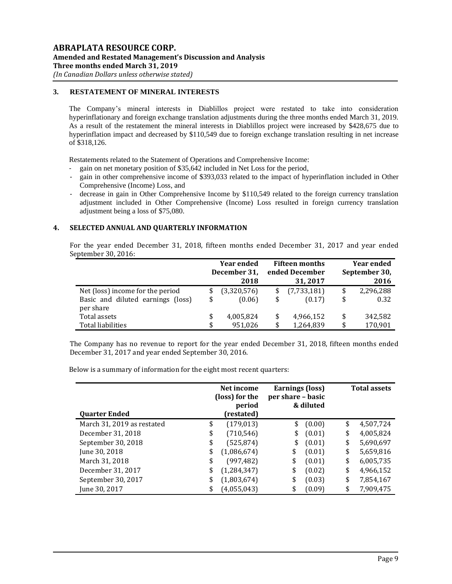# **3. RESTATEMENT OF MINERAL INTERESTS**

The Company's mineral interests in Diablillos project were restated to take into consideration hyperinflationary and foreign exchange translation adjustments during the three months ended March 31, 2019. As a result of the restatement the mineral interests in Diablillos project were increased by \$428,675 due to hyperinflation impact and decreased by \$110,549 due to foreign exchange translation resulting in net increase of \$318,126.

Restatements related to the Statement of Operations and Comprehensive Income:

- gain on net monetary position of \$35,642 included in Net Loss for the period,
- gain in other comprehensive income of \$393,033 related to the impact of hyperinflation included in Other Comprehensive (Income) Loss, and
- decrease in gain in Other Comprehensive Income by \$110,549 related to the foreign currency translation adjustment included in Other Comprehensive (Income) Loss resulted in foreign currency translation adjustment being a loss of \$75,080.

## **4. SELECTED ANNUAL AND QUARTERLY INFORMATION**

For the year ended December 31, 2018, fifteen months ended December 31, 2017 and year ended September 30, 2016:

|                                   | <b>Year ended</b> |                      | <b>Fifteen months</b>      | <b>Year ended</b> |                       |  |
|-----------------------------------|-------------------|----------------------|----------------------------|-------------------|-----------------------|--|
|                                   |                   | December 31,<br>2018 | ended December<br>31, 2017 |                   | September 30,<br>2016 |  |
| Net (loss) income for the period  | \$                | (3,320,576)          | \$<br>(7,733,181)          | \$                | 2,296,288             |  |
| Basic and diluted earnings (loss) | \$                | (0.06)               | \$<br>(0.17)               | \$                | 0.32                  |  |
| per share                         |                   |                      |                            |                   |                       |  |
| Total assets                      | \$                | 4,005,824            | \$<br>4,966,152            | \$                | 342,582               |  |
| Total liabilities                 | \$                | 951.026              | \$<br>1,264,839            | \$                | 170,901               |  |

The Company has no revenue to report for the year ended December 31, 2018, fifteen months ended December 31, 2017 and year ended September 30, 2016.

Below is a summary of information for the eight most recent quarters:

| <b>Quarter Ended</b>       | Net income<br>(loss) for the<br>period<br>(restated) |               | Earnings (loss)<br>per share - basic | & diluted | <b>Total assets</b> |           |  |
|----------------------------|------------------------------------------------------|---------------|--------------------------------------|-----------|---------------------|-----------|--|
| March 31, 2019 as restated | \$                                                   | (179, 013)    | \$                                   | (0.00)    | \$                  | 4,507,724 |  |
| December 31, 2018          | \$                                                   | (710, 546)    | \$                                   | (0.01)    | \$                  | 4,005,824 |  |
| September 30, 2018         | \$                                                   | (525, 874)    | \$                                   | (0.01)    | \$                  | 5,690,697 |  |
| June 30, 2018              | \$                                                   | (1,086,674)   | \$                                   | (0.01)    | \$                  | 5,659,816 |  |
| March 31, 2018             | \$                                                   | (997, 482)    | \$                                   | (0.01)    | \$                  | 6,005,735 |  |
| December 31, 2017          | \$                                                   | (1, 284, 347) | \$                                   | (0.02)    | \$                  | 4,966,152 |  |
| September 30, 2017         | \$                                                   | (1,803,674)   | \$                                   | (0.03)    | \$                  | 7,854,167 |  |
| June 30, 2017              | \$                                                   | (4,055,043)   | \$                                   | (0.09)    | \$                  | 7,909,475 |  |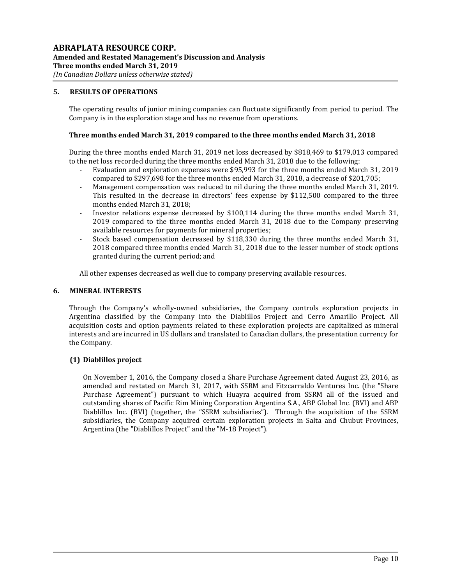# **5. RESULTS OF OPERATIONS**

The operating results of junior mining companies can fluctuate significantly from period to period. The Company is in the exploration stage and has no revenue from operations.

#### **Three months ended March 31, 2019 compared to the three months ended March 31, 2018**

During the three months ended March 31, 2019 net loss decreased by \$818,469 to \$179,013 compared to the net loss recorded during the three months ended March 31, 2018 due to the following:

- Evaluation and exploration expenses were \$95,993 for the three months ended March 31, 2019 compared to \$297,698 for the three months ended March 31, 2018, a decrease of \$201,705;
- Management compensation was reduced to nil during the three months ended March 31, 2019. This resulted in the decrease in directors' fees expense by \$112,500 compared to the three months ended March 31, 2018;
- Investor relations expense decreased by \$100,114 during the three months ended March 31, 2019 compared to the three months ended March 31, 2018 due to the Company preserving available resources for payments for mineral properties;
- Stock based compensation decreased by \$118,330 during the three months ended March 31, 2018 compared three months ended March 31, 2018 due to the lesser number of stock options granted during the current period; and

All other expenses decreased as well due to company preserving available resources.

#### **6. MINERAL INTERESTS**

Through the Company's wholly-owned subsidiaries, the Company controls exploration projects in Argentina classified by the Company into the Diablillos Project and Cerro Amarillo Project. All acquisition costs and option payments related to these exploration projects are capitalized as mineral interests and are incurred in US dollars and translated to Canadian dollars, the presentation currency for the Company.

## **(1) Diablillos project**

On November 1, 2016, the Company closed a Share Purchase Agreement dated August 23, 2016, as amended and restated on March 31, 2017, with SSRM and Fitzcarraldo Ventures Inc. (the "Share Purchase Agreement") pursuant to which Huayra acquired from SSRM all of the issued and outstanding shares of Pacific Rim Mining Corporation Argentina S.A., ABP Global Inc. (BVI) and ABP Diablillos Inc. (BVI) (together, the "SSRM subsidiaries"). Through the acquisition of the SSRM subsidiaries, the Company acquired certain exploration projects in Salta and Chubut Provinces, Argentina (the "Diablillos Project" and the "M-18 Project").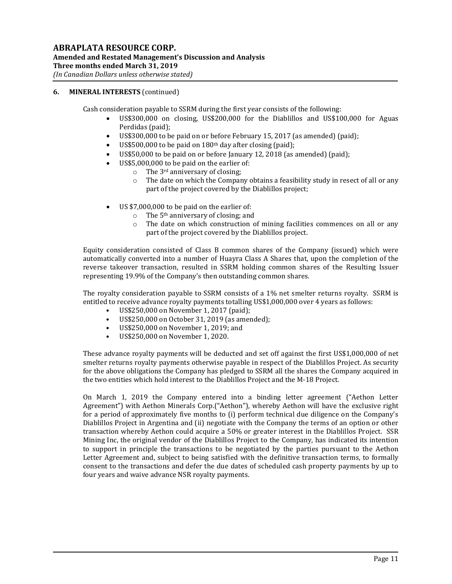## **6. MINERAL INTERESTS** (continued)

Cash consideration payable to SSRM during the first year consists of the following:

- US\$300,000 on closing, US\$200,000 for the Diablillos and US\$100,000 for Aguas Perdidas (paid);
- US\$300,000 to be paid on or before February 15, 2017 (as amended) (paid);
- US\$500,000 to be paid on 180th day after closing (paid);
- US\$50,000 to be paid on or before January 12, 2018 (as amended) (paid);
- US\$5,000,000 to be paid on the earlier of:
	- $\circ$  The 3<sup>rd</sup> anniversary of closing;
	- o The date on which the Company obtains a feasibility study in resect of all or any part of the project covered by the Diablillos project;
- US \$7,000,000 to be paid on the earlier of:
	- $\circ$  The 5<sup>th</sup> anniversary of closing; and
	- o The date on which construction of mining facilities commences on all or any part of the project covered by the Diablillos project.

Equity consideration consisted of Class B common shares of the Company (issued) which were automatically converted into a number of Huayra Class A Shares that, upon the completion of the reverse takeover transaction, resulted in SSRM holding common shares of the Resulting Issuer representing 19.9% of the Company's then outstanding common shares.

The royalty consideration payable to SSRM consists of a 1% net smelter returns royalty. SSRM is entitled to receive advance royalty payments totalling US\$1,000,000 over 4 years as follows:

- US\$250,000 on November 1, 2017 (paid);
- US\$250,000 on October 31, 2019 (as amended);
- US\$250,000 on November 1, 2019; and
- US\$250,000 on November 1, 2020.

These advance royalty payments will be deducted and set off against the first US\$1,000,000 of net smelter returns royalty payments otherwise payable in respect of the Diablillos Project. As security for the above obligations the Company has pledged to SSRM all the shares the Company acquired in the two entities which hold interest to the Diablillos Project and the M-18 Project.

On March 1, 2019 the Company entered into a binding letter agreement ("Aethon Letter Agreement") with Aethon Minerals Corp.("Aethon"), whereby Aethon will have the exclusive right for a period of approximately five months to (i) perform technical due diligence on the Company's Diablillos Project in Argentina and (ii) negotiate with the Company the terms of an option or other transaction whereby Aethon could acquire a 50% or greater interest in the Diablillos Project. SSR Mining Inc, the original vendor of the Diablillos Project to the Company, has indicated its intention to support in principle the transactions to be negotiated by the parties pursuant to the Aethon Letter Agreement and, subject to being satisfied with the definitive transaction terms, to formally consent to the transactions and defer the due dates of scheduled cash property payments by up to four years and waive advance NSR royalty payments.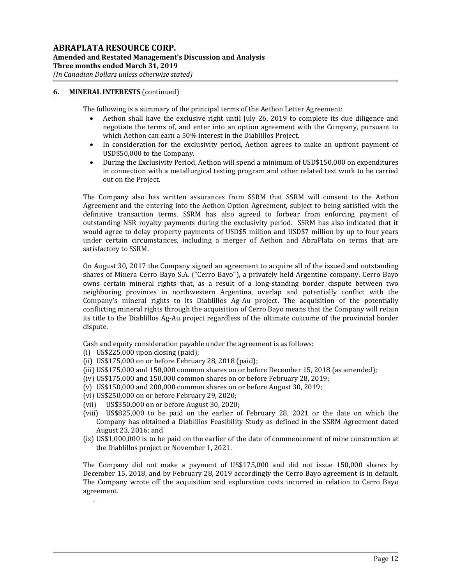#### **6. MINERAL INTERESTS** (continued)

The following is a summary of the principal terms of the Aethon Letter Agreement:

- Aethon shall have the exclusive right until July 26, 2019 to complete its due diligence and negotiate the terms of, and enter into an option agreement with the Company, pursuant to which Aethon can earn a 50% interest in the Diablillos Project.
- In consideration for the exclusivity period, Aethon agrees to make an upfront payment of USD\$50,000 to the Company.
- During the Exclusivity Period, Aethon will spend a minimum of USD\$150,000 on expenditures in connection with a metallurgical testing program and other related test work to be carried out on the Project.

The Company also has written assurances from SSRM that SSRM will consent to the Aethon Agreement and the entering into the Aethon Option Agreement, subject to being satisfied with the definitive transaction terms. SSRM has also agreed to forbear from enforcing payment of outstanding NSR royalty payments during the exclusivity period. SSRM has also indicated that it would agree to delay property payments of USD\$5 million and USD\$7 million by up to four years under certain circumstances, including a merger of Aethon and AbraPlata on terms that are satisfactory to SSRM.

On August 30, 2017 the Company signed an agreement to acquire all of the issued and outstanding shares of Minera Cerro Bayo S.A. ("Cerro Bayo"), a privately held Argentine company. Cerro Bayo owns certain mineral rights that, as a result of a long-standing border dispute between two neighboring provinces in northwestern Argentina, overlap and potentially conflict with the Company's mineral rights to its Diablillos Ag-Au project. The acquisition of the potentially conflicting mineral rights through the acquisition of Cerro Bayo means that the Company will retain its title to the Diablillos Ag-Au project regardless of the ultimate outcome of the provincial border dispute.

Cash and equity consideration payable under the agreement is as follows:

(i) US\$225,000 upon closing (paid);

.

- (ii) US\$175,000 on or before February 28, 2018 (paid);
- (iii) US\$175,000 and 150,000 common shares on or before December 15, 2018 (as amended);
- (iv) US\$175,000 and 150,000 common shares on or before February 28, 2019;
- (v) US\$150,000 and 200,000 common shares on or before August 30, 2019;
- (vi) US\$250,000 on or before February 29, 2020;
- (vii) US\$350,000 on or before August 30, 2020;
- (viii) US\$825,000 to be paid on the earlier of February 28, 2021 or the date on which the Company has obtained a Diablillos Feasibility Study as defined in the SSRM Agreement dated August 23, 2016; and
- (ix) US\$1,000,000 is to be paid on the earlier of the date of commencement of mine construction at the Diablillos project or November 1, 2021.

The Company did not make a payment of US\$175,000 and did not issue 150,000 shares by December 15, 2018, and by February 28, 2019 accordingly the Cerro Bayo agreement is in default. The Company wrote off the acquisition and exploration costs incurred in relation to Cerro Bayo agreement.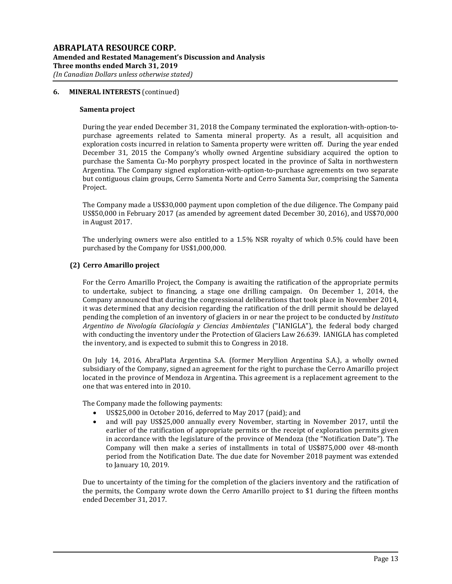#### **6. MINERAL INTERESTS** (continued)

#### **Samenta project**

During the year ended December 31, 2018 the Company terminated the exploration-with-option-topurchase agreements related to Samenta mineral property. As a result, all acquisition and exploration costs incurred in relation to Samenta property were written off. During the year ended December 31, 2015 the Company's wholly owned Argentine subsidiary acquired the option to purchase the Samenta Cu-Mo porphyry prospect located in the province of Salta in northwestern Argentina. The Company signed exploration-with-option-to-purchase agreements on two separate but contiguous claim groups, Cerro Samenta Norte and Cerro Samenta Sur, comprising the Samenta Project.

The Company made a US\$30,000 payment upon completion of the due diligence. The Company paid US\$50,000 in February 2017 (as amended by agreement dated December 30, 2016), and US\$70,000 in August 2017.

The underlying owners were also entitled to a 1.5% NSR royalty of which 0.5% could have been purchased by the Company for US\$1,000,000.

#### **(2) Cerro Amarillo project**

For the Cerro Amarillo Project, the Company is awaiting the ratification of the appropriate permits to undertake, subject to financing, a stage one drilling campaign. On December 1, 2014, the Company announced that during the congressional deliberations that took place in November 2014, it was determined that any decision regarding the ratification of the drill permit should be delayed pending the completion of an inventory of glaciers in or near the project to be conducted by *Instituto Argentino de Nivología Glaciología y Ciencias Ambientales* ("IANIGLA"), the federal body charged with conducting the inventory under the Protection of Glaciers Law 26.639. IANIGLA has completed the inventory, and is expected to submit this to Congress in 2018.

On July 14, 2016, AbraPlata Argentina S.A. (former Meryllion Argentina S.A.), a wholly owned subsidiary of the Company, signed an agreement for the right to purchase the Cerro Amarillo project located in the province of Mendoza in Argentina. This agreement is a replacement agreement to the one that was entered into in 2010.

The Company made the following payments:

- US\$25,000 in October 2016, deferred to May 2017 (paid); and
- and will pay US\$25,000 annually every November, starting in November 2017, until the earlier of the ratification of appropriate permits or the receipt of exploration permits given in accordance with the legislature of the province of Mendoza (the "Notification Date"). The Company will then make a series of installments in total of US\$875,000 over 48-month period from the Notification Date. The due date for November 2018 payment was extended to January 10, 2019.

Due to uncertainty of the timing for the completion of the glaciers inventory and the ratification of the permits, the Company wrote down the Cerro Amarillo project to \$1 during the fifteen months ended December 31, 2017.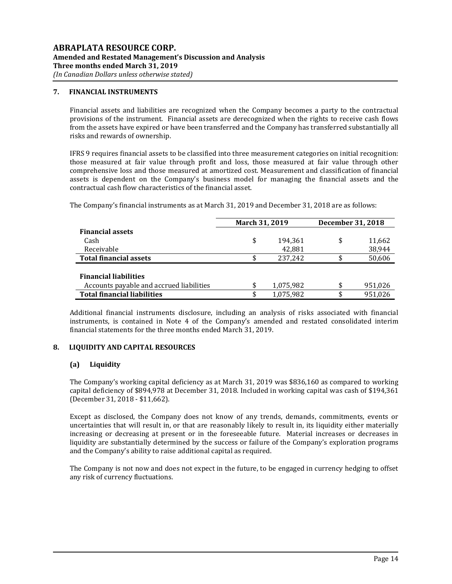## **7. FINANCIAL INSTRUMENTS**

Financial assets and liabilities are recognized when the Company becomes a party to the contractual provisions of the instrument. Financial assets are derecognized when the rights to receive cash flows from the assets have expired or have been transferred and the Company has transferred substantially all risks and rewards of ownership.

IFRS 9 requires financial assets to be classified into three measurement categories on initial recognition: those measured at fair value through profit and loss, those measured at fair value through other comprehensive loss and those measured at amortized cost. Measurement and classification of financial assets is dependent on the Company's business model for managing the financial assets and the contractual cash flow characteristics of the financial asset.

The Company's financial instruments as at March 31, 2019 and December 31, 2018 are as follows:

|                                          | March 31, 2019 |           | December 31, 2018 |         |
|------------------------------------------|----------------|-----------|-------------------|---------|
| <b>Financial assets</b>                  |                |           |                   |         |
| Cash                                     | \$             | 194,361   | \$                | 11,662  |
| Receivable                               |                | 42,881    |                   | 38,944  |
| <b>Total financial assets</b>            |                | 237,242   |                   | 50,606  |
|                                          |                |           |                   |         |
| <b>Financial liabilities</b>             |                |           |                   |         |
| Accounts payable and accrued liabilities | \$             | 1,075,982 | \$                | 951,026 |
| <b>Total financial liabilities</b>       | \$             | 1,075,982 | \$                | 951.026 |

Additional financial instruments disclosure, including an analysis of risks associated with financial instruments, is contained in Note 4 of the Company's amended and restated consolidated interim financial statements for the three months ended March 31, 2019.

## **8. LIQUIDITY AND CAPITAL RESOURCES**

## **(a) Liquidity**

The Company's working capital deficiency as at March 31, 2019 was \$836,160 as compared to working capital deficiency of \$894,978 at December 31, 2018. Included in working capital was cash of \$194,361 (December 31, 2018 - \$11,662).

Except as disclosed, the Company does not know of any trends, demands, commitments, events or uncertainties that will result in, or that are reasonably likely to result in, its liquidity either materially increasing or decreasing at present or in the foreseeable future. Material increases or decreases in liquidity are substantially determined by the success or failure of the Company's exploration programs and the Company's ability to raise additional capital as required.

The Company is not now and does not expect in the future, to be engaged in currency hedging to offset any risk of currency fluctuations.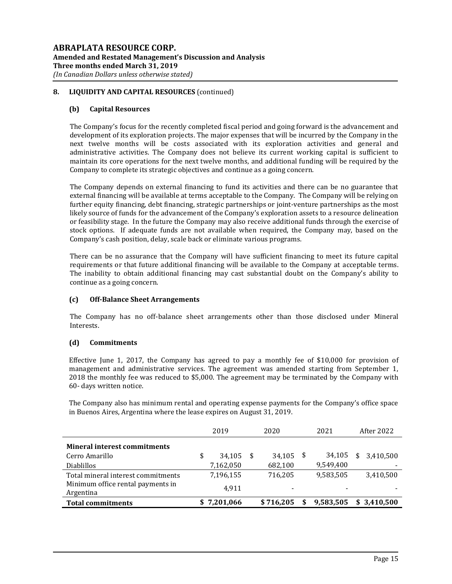# **8. LIQUIDITY AND CAPITAL RESOURCES** (continued)

## **(b) Capital Resources**

The Company's focus for the recently completed fiscal period and going forward is the advancement and development of its exploration projects. The major expenses that will be incurred by the Company in the next twelve months will be costs associated with its exploration activities and general and administrative activities. The Company does not believe its current working capital is sufficient to maintain its core operations for the next twelve months, and additional funding will be required by the Company to complete its strategic objectives and continue as a going concern.

The Company depends on external financing to fund its activities and there can be no guarantee that external financing will be available at terms acceptable to the Company. The Company will be relying on further equity financing, debt financing, strategic partnerships or joint-venture partnerships as the most likely source of funds for the advancement of the Company's exploration assets to a resource delineation or feasibility stage. In the future the Company may also receive additional funds through the exercise of stock options. If adequate funds are not available when required, the Company may, based on the Company's cash position, delay, scale back or eliminate various programs.

There can be no assurance that the Company will have sufficient financing to meet its future capital requirements or that future additional financing will be available to the Company at acceptable terms. The inability to obtain additional financing may cast substantial doubt on the Company's ability to continue as a going concern.

## **(c) Off-Balance Sheet Arrangements**

The Company has no off-balance sheet arrangements other than those disclosed under Mineral Interests.

## **(d) Commitments**

Effective June 1, 2017, the Company has agreed to pay a monthly fee of \$10,000 for provision of management and administrative services. The agreement was amended starting from September 1, 2018 the monthly fee was reduced to \$5,000. The agreement may be terminated by the Company with 60- days written notice.

The Company also has minimum rental and operating expense payments for the Company's office space in Buenos Aires, Argentina where the lease expires on August 31, 2019.

|                                                | 2019         |     | 2020      | 2021 |           | After 2022      |
|------------------------------------------------|--------------|-----|-----------|------|-----------|-----------------|
| <b>Mineral interest commitments</b>            |              |     |           |      |           |                 |
| Cerro Amarillo                                 | \$<br>34.105 | -\$ | 34,105    |      | 34,105    | \$<br>3,410,500 |
| <b>Diablillos</b>                              | 7,162,050    |     | 682,100   |      | 9,549,400 |                 |
| Total mineral interest commitments             | 7,196,155    |     | 716,205   |      | 9,583,505 | 3,410,500       |
| Minimum office rental payments in<br>Argentina | 4.911        |     |           |      |           |                 |
| <b>Total commitments</b>                       | \$7,201,066  |     | \$716.205 | \$   | 9,583,505 | \$3.410.500     |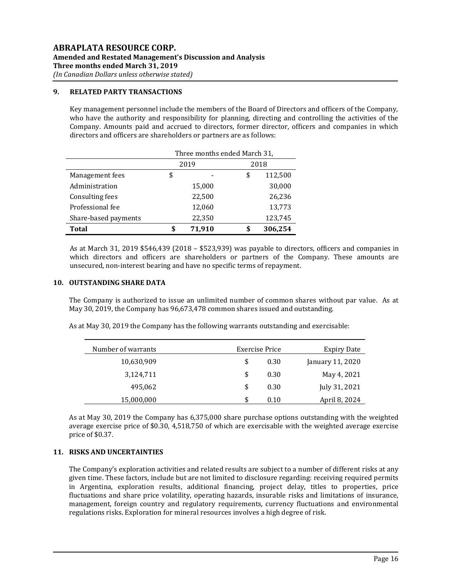#### **9. RELATED PARTY TRANSACTIONS**

Key management personnel include the members of the Board of Directors and officers of the Company, who have the authority and responsibility for planning, directing and controlling the activities of the Company. Amounts paid and accrued to directors, former director, officers and companies in which directors and officers are shareholders or partners are as follows:

|                      | Three months ended March 31, |        |    |         |  |
|----------------------|------------------------------|--------|----|---------|--|
|                      |                              | 2019   |    | 2018    |  |
| Management fees      | \$                           |        | \$ | 112,500 |  |
| Administration       |                              | 15,000 |    | 30,000  |  |
| Consulting fees      |                              | 22,500 |    | 26,236  |  |
| Professional fee     |                              | 12,060 |    | 13,773  |  |
| Share-based payments |                              | 22,350 |    | 123,745 |  |
| <b>Total</b>         | \$                           | 71,910 |    | 306,254 |  |

As at March 31, 2019 \$546,439 (2018 – \$523,939) was payable to directors, officers and companies in which directors and officers are shareholders or partners of the Company. These amounts are unsecured, non-interest bearing and have no specific terms of repayment.

#### **10. OUTSTANDING SHARE DATA**

The Company is authorized to issue an unlimited number of common shares without par value. As at May 30, 2019, the Company has 96,673,478 common shares issued and outstanding.

|  |  |  |  | As at May 30, 2019 the Company has the following warrants outstanding and exercisable: |
|--|--|--|--|----------------------------------------------------------------------------------------|
|  |  |  |  |                                                                                        |

| Number of warrants | Exercise Price | <b>Expiry Date</b> |
|--------------------|----------------|--------------------|
| 10,630,909         | \$<br>0.30     | January 11, 2020   |
| 3,124,711          | \$<br>0.30     | May 4, 2021        |
| 495,062            | \$<br>0.30     | July 31, 2021      |
| 15,000,000         | S<br>0.10      | April 8, 2024      |

As at May 30, 2019 the Company has 6,375,000 share purchase options outstanding with the weighted average exercise price of \$0.30, 4,518,750 of which are exercisable with the weighted average exercise price of \$0.37.

#### **11. RISKS AND UNCERTAINTIES**

The Company's exploration activities and related results are subject to a number of different risks at any given time. These factors, include but are not limited to disclosure regarding: receiving required permits in Argentina, exploration results, additional financing, project delay, titles to properties, price fluctuations and share price volatility, operating hazards, insurable risks and limitations of insurance, management, foreign country and regulatory requirements, currency fluctuations and environmental regulations risks. Exploration for mineral resources involves a high degree of risk.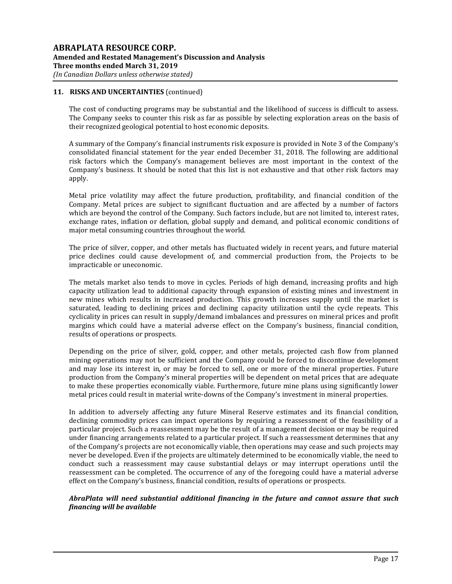The cost of conducting programs may be substantial and the likelihood of success is difficult to assess. The Company seeks to counter this risk as far as possible by selecting exploration areas on the basis of their recognized geological potential to host economic deposits.

A summary of the Company's financial instruments risk exposure is provided in Note 3 of the Company's consolidated financial statement for the year ended December 31, 2018. The following are additional risk factors which the Company's management believes are most important in the context of the Company's business. It should be noted that this list is not exhaustive and that other risk factors may apply.

Metal price volatility may affect the future production, profitability, and financial condition of the Company. Metal prices are subject to significant fluctuation and are affected by a number of factors which are beyond the control of the Company. Such factors include, but are not limited to, interest rates, exchange rates, inflation or deflation, global supply and demand, and political economic conditions of major metal consuming countries throughout the world.

The price of silver, copper, and other metals has fluctuated widely in recent years, and future material price declines could cause development of, and commercial production from, the Projects to be impracticable or uneconomic.

The metals market also tends to move in cycles. Periods of high demand, increasing profits and high capacity utilization lead to additional capacity through expansion of existing mines and investment in new mines which results in increased production. This growth increases supply until the market is saturated, leading to declining prices and declining capacity utilization until the cycle repeats. This cyclicality in prices can result in supply/demand imbalances and pressures on mineral prices and profit margins which could have a material adverse effect on the Company's business, financial condition, results of operations or prospects.

Depending on the price of silver, gold, copper, and other metals, projected cash flow from planned mining operations may not be sufficient and the Company could be forced to discontinue development and may lose its interest in, or may be forced to sell, one or more of the mineral properties. Future production from the Company's mineral properties will be dependent on metal prices that are adequate to make these properties economically viable. Furthermore, future mine plans using significantly lower metal prices could result in material write-downs of the Company's investment in mineral properties.

In addition to adversely affecting any future Mineral Reserve estimates and its financial condition, declining commodity prices can impact operations by requiring a reassessment of the feasibility of a particular project. Such a reassessment may be the result of a management decision or may be required under financing arrangements related to a particular project. If such a reassessment determines that any of the Company's projects are not economically viable, then operations may cease and such projects may never be developed. Even if the projects are ultimately determined to be economically viable, the need to conduct such a reassessment may cause substantial delays or may interrupt operations until the reassessment can be completed. The occurrence of any of the foregoing could have a material adverse effect on the Company's business, financial condition, results of operations or prospects.

## *AbraPlata will need substantial additional financing in the future and cannot assure that such financing will be available*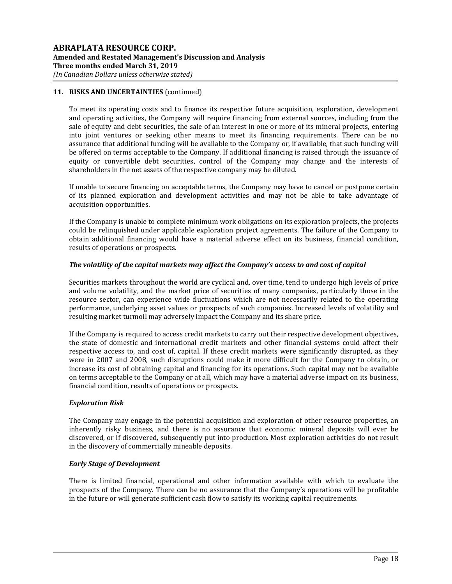To meet its operating costs and to finance its respective future acquisition, exploration, development and operating activities, the Company will require financing from external sources, including from the sale of equity and debt securities, the sale of an interest in one or more of its mineral projects, entering into joint ventures or seeking other means to meet its financing requirements. There can be no assurance that additional funding will be available to the Company or, if available, that such funding will be offered on terms acceptable to the Company. If additional financing is raised through the issuance of equity or convertible debt securities, control of the Company may change and the interests of shareholders in the net assets of the respective company may be diluted.

If unable to secure financing on acceptable terms, the Company may have to cancel or postpone certain of its planned exploration and development activities and may not be able to take advantage of acquisition opportunities.

If the Company is unable to complete minimum work obligations on its exploration projects, the projects could be relinquished under applicable exploration project agreements. The failure of the Company to obtain additional financing would have a material adverse effect on its business, financial condition, results of operations or prospects.

## *The volatility of the capital markets may affect the Company's access to and cost of capital*

Securities markets throughout the world are cyclical and, over time, tend to undergo high levels of price and volume volatility, and the market price of securities of many companies, particularly those in the resource sector, can experience wide fluctuations which are not necessarily related to the operating performance, underlying asset values or prospects of such companies. Increased levels of volatility and resulting market turmoil may adversely impact the Company and its share price.

If the Company is required to access credit markets to carry out their respective development objectives, the state of domestic and international credit markets and other financial systems could affect their respective access to, and cost of, capital. If these credit markets were significantly disrupted, as they were in 2007 and 2008, such disruptions could make it more difficult for the Company to obtain, or increase its cost of obtaining capital and financing for its operations. Such capital may not be available on terms acceptable to the Company or at all, which may have a material adverse impact on its business, financial condition, results of operations or prospects.

## *Exploration Risk*

The Company may engage in the potential acquisition and exploration of other resource properties, an inherently risky business, and there is no assurance that economic mineral deposits will ever be discovered, or if discovered, subsequently put into production. Most exploration activities do not result in the discovery of commercially mineable deposits.

## *Early Stage of Development*

There is limited financial, operational and other information available with which to evaluate the prospects of the Company. There can be no assurance that the Company's operations will be profitable in the future or will generate sufficient cash flow to satisfy its working capital requirements.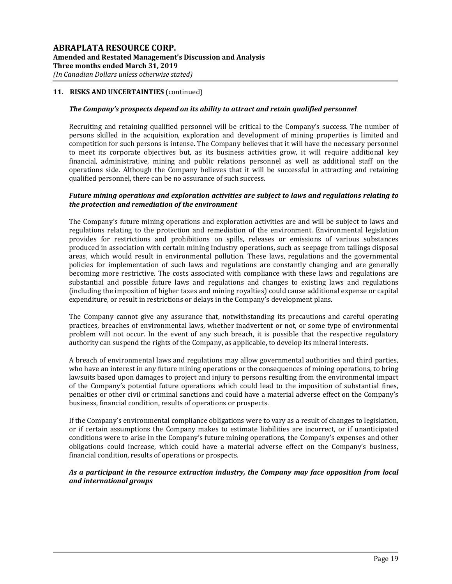#### *The Company's prospects depend on its ability to attract and retain qualified personnel*

Recruiting and retaining qualified personnel will be critical to the Company's success. The number of persons skilled in the acquisition, exploration and development of mining properties is limited and competition for such persons is intense. The Company believes that it will have the necessary personnel to meet its corporate objectives but, as its business activities grow, it will require additional key financial, administrative, mining and public relations personnel as well as additional staff on the operations side. Although the Company believes that it will be successful in attracting and retaining qualified personnel, there can be no assurance of such success.

#### *Future mining operations and exploration activities are subject to laws and regulations relating to the protection and remediation of the environment*

The Company's future mining operations and exploration activities are and will be subject to laws and regulations relating to the protection and remediation of the environment. Environmental legislation provides for restrictions and prohibitions on spills, releases or emissions of various substances produced in association with certain mining industry operations, such as seepage from tailings disposal areas, which would result in environmental pollution. These laws, regulations and the governmental policies for implementation of such laws and regulations are constantly changing and are generally becoming more restrictive. The costs associated with compliance with these laws and regulations are substantial and possible future laws and regulations and changes to existing laws and regulations (including the imposition of higher taxes and mining royalties) could cause additional expense or capital expenditure, or result in restrictions or delays in the Company's development plans.

The Company cannot give any assurance that, notwithstanding its precautions and careful operating practices, breaches of environmental laws, whether inadvertent or not, or some type of environmental problem will not occur. In the event of any such breach, it is possible that the respective regulatory authority can suspend the rights of the Company, as applicable, to develop its mineral interests.

A breach of environmental laws and regulations may allow governmental authorities and third parties, who have an interest in any future mining operations or the consequences of mining operations, to bring lawsuits based upon damages to project and injury to persons resulting from the environmental impact of the Company's potential future operations which could lead to the imposition of substantial fines, penalties or other civil or criminal sanctions and could have a material adverse effect on the Company's business, financial condition, results of operations or prospects.

If the Company's environmental compliance obligations were to vary as a result of changes to legislation, or if certain assumptions the Company makes to estimate liabilities are incorrect, or if unanticipated conditions were to arise in the Company's future mining operations, the Company's expenses and other obligations could increase, which could have a material adverse effect on the Company's business, financial condition, results of operations or prospects.

## *As a participant in the resource extraction industry, the Company may face opposition from local and international groups*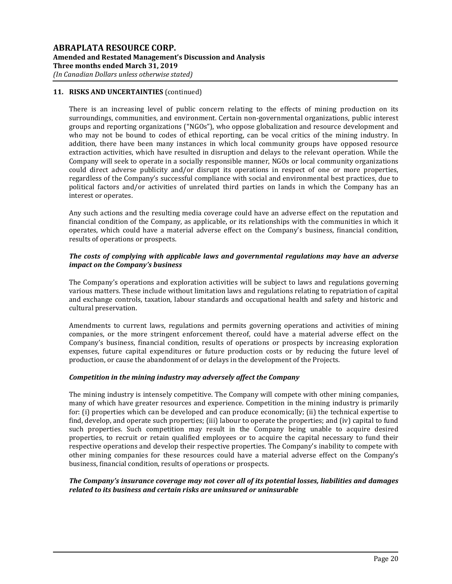There is an increasing level of public concern relating to the effects of mining production on its surroundings, communities, and environment. Certain non-governmental organizations, public interest groups and reporting organizations ("NGOs"), who oppose globalization and resource development and who may not be bound to codes of ethical reporting, can be vocal critics of the mining industry. In addition, there have been many instances in which local community groups have opposed resource extraction activities, which have resulted in disruption and delays to the relevant operation. While the Company will seek to operate in a socially responsible manner, NGOs or local community organizations could direct adverse publicity and/or disrupt its operations in respect of one or more properties, regardless of the Company's successful compliance with social and environmental best practices, due to political factors and/or activities of unrelated third parties on lands in which the Company has an interest or operates.

Any such actions and the resulting media coverage could have an adverse effect on the reputation and financial condition of the Company, as applicable, or its relationships with the communities in which it operates, which could have a material adverse effect on the Company's business, financial condition, results of operations or prospects.

#### *The costs of complying with applicable laws and governmental regulations may have an adverse impact on the Company's business*

The Company's operations and exploration activities will be subject to laws and regulations governing various matters. These include without limitation laws and regulations relating to repatriation of capital and exchange controls, taxation, labour standards and occupational health and safety and historic and cultural preservation.

Amendments to current laws, regulations and permits governing operations and activities of mining companies, or the more stringent enforcement thereof, could have a material adverse effect on the Company's business, financial condition, results of operations or prospects by increasing exploration expenses, future capital expenditures or future production costs or by reducing the future level of production, or cause the abandonment of or delays in the development of the Projects.

## *Competition in the mining industry may adversely affect the Company*

The mining industry is intensely competitive. The Company will compete with other mining companies, many of which have greater resources and experience. Competition in the mining industry is primarily for: (i) properties which can be developed and can produce economically; (ii) the technical expertise to find, develop, and operate such properties; (iii) labour to operate the properties; and (iv) capital to fund such properties. Such competition may result in the Company being unable to acquire desired properties, to recruit or retain qualified employees or to acquire the capital necessary to fund their respective operations and develop their respective properties. The Company's inability to compete with other mining companies for these resources could have a material adverse effect on the Company's business, financial condition, results of operations or prospects.

## *The Company's insurance coverage may not cover all of its potential losses, liabilities and damages related to its business and certain risks are uninsured or uninsurable*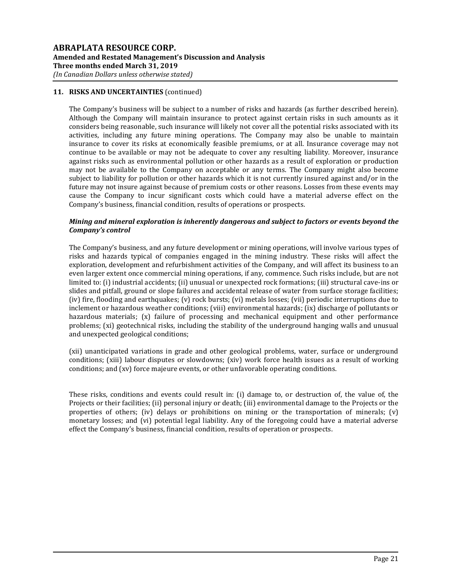The Company's business will be subject to a number of risks and hazards (as further described herein). Although the Company will maintain insurance to protect against certain risks in such amounts as it considers being reasonable, such insurance will likely not cover all the potential risks associated with its activities, including any future mining operations. The Company may also be unable to maintain insurance to cover its risks at economically feasible premiums, or at all. Insurance coverage may not continue to be available or may not be adequate to cover any resulting liability. Moreover, insurance against risks such as environmental pollution or other hazards as a result of exploration or production may not be available to the Company on acceptable or any terms. The Company might also become subject to liability for pollution or other hazards which it is not currently insured against and/or in the future may not insure against because of premium costs or other reasons. Losses from these events may cause the Company to incur significant costs which could have a material adverse effect on the Company's business, financial condition, results of operations or prospects.

## *Mining and mineral exploration is inherently dangerous and subject to factors or events beyond the Company's control*

The Company's business, and any future development or mining operations, will involve various types of risks and hazards typical of companies engaged in the mining industry. These risks will affect the exploration, development and refurbishment activities of the Company, and will affect its business to an even larger extent once commercial mining operations, if any, commence. Such risks include, but are not limited to: (i) industrial accidents; (ii) unusual or unexpected rock formations; (iii) structural cave-ins or slides and pitfall, ground or slope failures and accidental release of water from surface storage facilities; (iv) fire, flooding and earthquakes; (v) rock bursts; (vi) metals losses; (vii) periodic interruptions due to inclement or hazardous weather conditions; (viii) environmental hazards; (ix) discharge of pollutants or hazardous materials; (x) failure of processing and mechanical equipment and other performance problems; (xi) geotechnical risks, including the stability of the underground hanging walls and unusual and unexpected geological conditions;

(xii) unanticipated variations in grade and other geological problems, water, surface or underground conditions; (xiii) labour disputes or slowdowns; (xiv) work force health issues as a result of working conditions; and (xv) force majeure events, or other unfavorable operating conditions.

These risks, conditions and events could result in: (i) damage to, or destruction of, the value of, the Projects or their facilities; (ii) personal injury or death; (iii) environmental damage to the Projects or the properties of others; (iv) delays or prohibitions on mining or the transportation of minerals; (v) monetary losses; and (vi) potential legal liability. Any of the foregoing could have a material adverse effect the Company's business, financial condition, results of operation or prospects.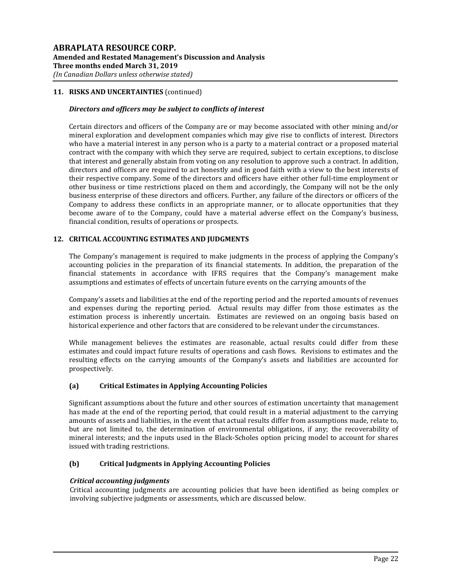## *Directors and officers may be subject to conflicts of interest*

Certain directors and officers of the Company are or may become associated with other mining and/or mineral exploration and development companies which may give rise to conflicts of interest. Directors who have a material interest in any person who is a party to a material contract or a proposed material contract with the company with which they serve are required, subject to certain exceptions, to disclose that interest and generally abstain from voting on any resolution to approve such a contract. In addition, directors and officers are required to act honestly and in good faith with a view to the best interests of their respective company. Some of the directors and officers have either other full-time employment or other business or time restrictions placed on them and accordingly, the Company will not be the only business enterprise of these directors and officers. Further, any failure of the directors or officers of the Company to address these conflicts in an appropriate manner, or to allocate opportunities that they become aware of to the Company, could have a material adverse effect on the Company's business, financial condition, results of operations or prospects.

## **12. CRITICAL ACCOUNTING ESTIMATES AND JUDGMENTS**

The Company's management is required to make judgments in the process of applying the Company's accounting policies in the preparation of its financial statements. In addition, the preparation of the financial statements in accordance with IFRS requires that the Company's management make assumptions and estimates of effects of uncertain future events on the carrying amounts of the

Company's assets and liabilities at the end of the reporting period and the reported amounts of revenues and expenses during the reporting period. Actual results may differ from those estimates as the estimation process is inherently uncertain. Estimates are reviewed on an ongoing basis based on historical experience and other factors that are considered to be relevant under the circumstances.

While management believes the estimates are reasonable, actual results could differ from these estimates and could impact future results of operations and cash flows. Revisions to estimates and the resulting effects on the carrying amounts of the Company's assets and liabilities are accounted for prospectively.

## **(a) Critical Estimates in Applying Accounting Policies**

Significant assumptions about the future and other sources of estimation uncertainty that management has made at the end of the reporting period, that could result in a material adjustment to the carrying amounts of assets and liabilities, in the event that actual results differ from assumptions made, relate to, but are not limited to, the determination of environmental obligations, if any; the recoverability of mineral interests; and the inputs used in the Black-Scholes option pricing model to account for shares issued with trading restrictions.

## **(b) Critical Judgments in Applying Accounting Policies**

## *Critical accounting judgments*

Critical accounting judgments are accounting policies that have been identified as being complex or involving subjective judgments or assessments, which are discussed below.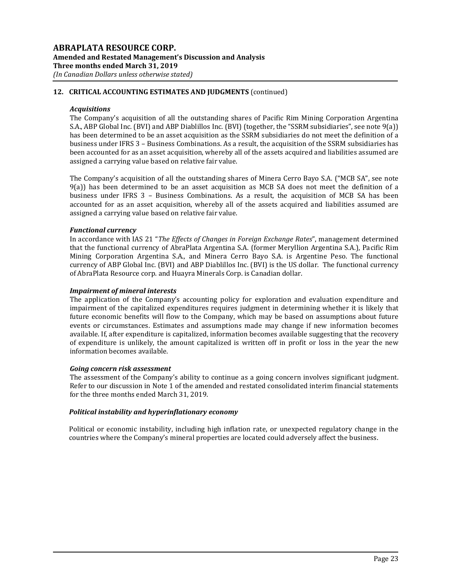# **12. CRITICAL ACCOUNTING ESTIMATES AND JUDGMENTS** (continued)

#### *Acquisitions*

The Company's acquisition of all the outstanding shares of Pacific Rim Mining Corporation Argentina S.A., ABP Global Inc. (BVI) and ABP Diablillos Inc. (BVI) (together, the "SSRM subsidiaries", see note 9(a)) has been determined to be an asset acquisition as the SSRM subsidiaries do not meet the definition of a business under IFRS 3 – Business Combinations. As a result, the acquisition of the SSRM subsidiaries has been accounted for as an asset acquisition, whereby all of the assets acquired and liabilities assumed are assigned a carrying value based on relative fair value.

The Company's acquisition of all the outstanding shares of Minera Cerro Bayo S.A. ("MCB SA", see note 9(a)) has been determined to be an asset acquisition as MCB SA does not meet the definition of a business under IFRS 3 – Business Combinations. As a result, the acquisition of MCB SA has been accounted for as an asset acquisition, whereby all of the assets acquired and liabilities assumed are assigned a carrying value based on relative fair value.

## *Functional currency*

In accordance with IAS 21 "*The Effects of Changes in Foreign Exchange Rates*", management determined that the functional currency of AbraPlata Argentina S.A. (former Meryllion Argentina S.A.), Pacific Rim Mining Corporation Argentina S.A., and Minera Cerro Bayo S.A. is Argentine Peso. The functional currency of ABP Global Inc. (BVI) and ABP Diablillos Inc. (BVI) is the US dollar. The functional currency of AbraPlata Resource corp. and Huayra Minerals Corp. is Canadian dollar.

#### *Impairment of mineral interests*

The application of the Company's accounting policy for exploration and evaluation expenditure and impairment of the capitalized expenditures requires judgment in determining whether it is likely that future economic benefits will flow to the Company, which may be based on assumptions about future events or circumstances. Estimates and assumptions made may change if new information becomes available. If, after expenditure is capitalized, information becomes available suggesting that the recovery of expenditure is unlikely, the amount capitalized is written off in profit or loss in the year the new information becomes available.

## *Going concern risk assessment*

The assessment of the Company's ability to continue as a going concern involves significant judgment. Refer to our discussion in Note 1 of the amended and restated consolidated interim financial statements for the three months ended March 31, 2019.

## *Political instability and hyperinflationary economy*

Political or economic instability, including high inflation rate, or unexpected regulatory change in the countries where the Company's mineral properties are located could adversely affect the business.